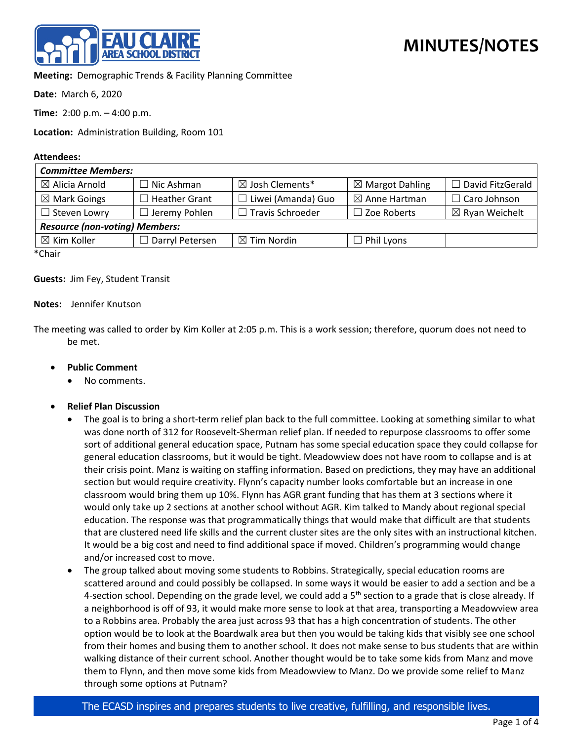

**Meeting:** Demographic Trends & Facility Planning Committee

**Date:** March 6, 2020

**Time:** 2:00 p.m. – 4:00 p.m.

**Location:** Administration Building, Room 101

## **Attendees:**

| <b>Committee Members:</b>             |                      |                            |                            |                           |
|---------------------------------------|----------------------|----------------------------|----------------------------|---------------------------|
| $\boxtimes$ Alicia Arnold             | $\Box$ Nic Ashman    | $\boxtimes$ Josh Clements* | $\boxtimes$ Margot Dahling | □ David FitzGerald        |
| $\boxtimes$ Mark Goings               | <b>Heather Grant</b> | $\Box$ Liwei (Amanda) Guo  | $\boxtimes$ Anne Hartman   | $\Box$ Caro Johnson       |
| $\Box$ Steven Lowry                   | $\Box$ Jeremy Pohlen | $\Box$ Travis Schroeder    | $\Box$ Zoe Roberts         | $\boxtimes$ Ryan Weichelt |
| <b>Resource (non-voting) Members:</b> |                      |                            |                            |                           |
| $\boxtimes$ Kim Koller                | □ Darryl Petersen    | $\boxtimes$ Tim Nordin     | $\Box$ Phil Lyons          |                           |
| $*$ $Ch$ $\sim$                       |                      |                            |                            |                           |

\*Chair

**Guests:** Jim Fey, Student Transit

## **Notes:** Jennifer Knutson

The meeting was called to order by Kim Koller at 2:05 p.m. This is a work session; therefore, quorum does not need to be met.

## • **Public Comment**

- No comments.
- **Relief Plan Discussion**
	- The goal is to bring a short-term relief plan back to the full committee. Looking at something similar to what was done north of 312 for Roosevelt-Sherman relief plan. If needed to repurpose classrooms to offer some sort of additional general education space, Putnam has some special education space they could collapse for general education classrooms, but it would be tight. Meadowview does not have room to collapse and is at their crisis point. Manz is waiting on staffing information. Based on predictions, they may have an additional section but would require creativity. Flynn's capacity number looks comfortable but an increase in one classroom would bring them up 10%. Flynn has AGR grant funding that has them at 3 sections where it would only take up 2 sections at another school without AGR. Kim talked to Mandy about regional special education. The response was that programmatically things that would make that difficult are that students that are clustered need life skills and the current cluster sites are the only sites with an instructional kitchen. It would be a big cost and need to find additional space if moved. Children's programming would change and/or increased cost to move.
	- The group talked about moving some students to Robbins. Strategically, special education rooms are scattered around and could possibly be collapsed. In some ways it would be easier to add a section and be a 4-section school. Depending on the grade level, we could add a  $5<sup>th</sup>$  section to a grade that is close already. If a neighborhood is off of 93, it would make more sense to look at that area, transporting a Meadowview area to a Robbins area. Probably the area just across 93 that has a high concentration of students. The other option would be to look at the Boardwalk area but then you would be taking kids that visibly see one school from their homes and busing them to another school. It does not make sense to bus students that are within walking distance of their current school. Another thought would be to take some kids from Manz and move them to Flynn, and then move some kids from Meadowview to Manz. Do we provide some relief to Manz through some options at Putnam?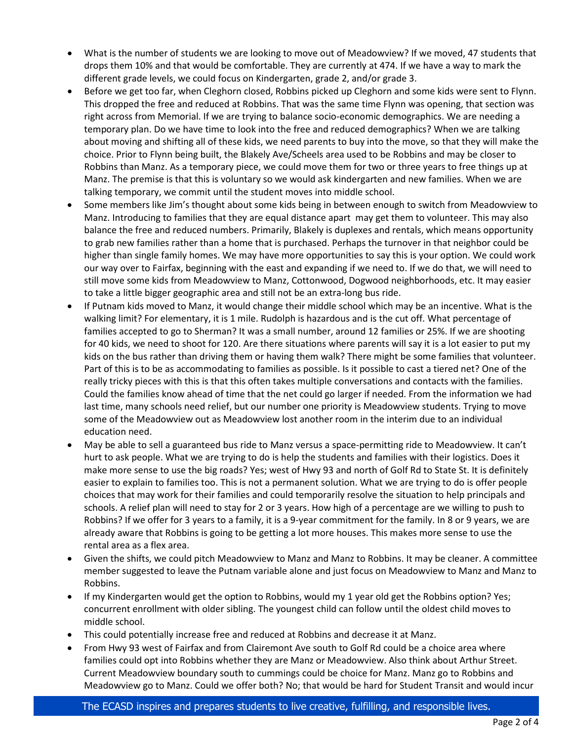- What is the number of students we are looking to move out of Meadowview? If we moved, 47 students that drops them 10% and that would be comfortable. They are currently at 474. If we have a way to mark the different grade levels, we could focus on Kindergarten, grade 2, and/or grade 3.
- Before we get too far, when Cleghorn closed, Robbins picked up Cleghorn and some kids were sent to Flynn. This dropped the free and reduced at Robbins. That was the same time Flynn was opening, that section was right across from Memorial. If we are trying to balance socio-economic demographics. We are needing a temporary plan. Do we have time to look into the free and reduced demographics? When we are talking about moving and shifting all of these kids, we need parents to buy into the move, so that they will make the choice. Prior to Flynn being built, the Blakely Ave/Scheels area used to be Robbins and may be closer to Robbins than Manz. As a temporary piece, we could move them for two or three years to free things up at Manz. The premise is that this is voluntary so we would ask kindergarten and new families. When we are talking temporary, we commit until the student moves into middle school.
- Some members like Jim's thought about some kids being in between enough to switch from Meadowview to Manz. Introducing to families that they are equal distance apart may get them to volunteer. This may also balance the free and reduced numbers. Primarily, Blakely is duplexes and rentals, which means opportunity to grab new families rather than a home that is purchased. Perhaps the turnover in that neighbor could be higher than single family homes. We may have more opportunities to say this is your option. We could work our way over to Fairfax, beginning with the east and expanding if we need to. If we do that, we will need to still move some kids from Meadowview to Manz, Cottonwood, Dogwood neighborhoods, etc. It may easier to take a little bigger geographic area and still not be an extra-long bus ride.
- If Putnam kids moved to Manz, it would change their middle school which may be an incentive. What is the walking limit? For elementary, it is 1 mile. Rudolph is hazardous and is the cut off. What percentage of families accepted to go to Sherman? It was a small number, around 12 families or 25%. If we are shooting for 40 kids, we need to shoot for 120. Are there situations where parents will say it is a lot easier to put my kids on the bus rather than driving them or having them walk? There might be some families that volunteer. Part of this is to be as accommodating to families as possible. Is it possible to cast a tiered net? One of the really tricky pieces with this is that this often takes multiple conversations and contacts with the families. Could the families know ahead of time that the net could go larger if needed. From the information we had last time, many schools need relief, but our number one priority is Meadowview students. Trying to move some of the Meadowview out as Meadowview lost another room in the interim due to an individual education need.
- May be able to sell a guaranteed bus ride to Manz versus a space-permitting ride to Meadowview. It can't hurt to ask people. What we are trying to do is help the students and families with their logistics. Does it make more sense to use the big roads? Yes; west of Hwy 93 and north of Golf Rd to State St. It is definitely easier to explain to families too. This is not a permanent solution. What we are trying to do is offer people choices that may work for their families and could temporarily resolve the situation to help principals and schools. A relief plan will need to stay for 2 or 3 years. How high of a percentage are we willing to push to Robbins? If we offer for 3 years to a family, it is a 9-year commitment for the family. In 8 or 9 years, we are already aware that Robbins is going to be getting a lot more houses. This makes more sense to use the rental area as a flex area.
- Given the shifts, we could pitch Meadowview to Manz and Manz to Robbins. It may be cleaner. A committee member suggested to leave the Putnam variable alone and just focus on Meadowview to Manz and Manz to Robbins.
- If my Kindergarten would get the option to Robbins, would my 1 year old get the Robbins option? Yes; concurrent enrollment with older sibling. The youngest child can follow until the oldest child moves to middle school.
- This could potentially increase free and reduced at Robbins and decrease it at Manz.
- From Hwy 93 west of Fairfax and from Clairemont Ave south to Golf Rd could be a choice area where families could opt into Robbins whether they are Manz or Meadowview. Also think about Arthur Street. Current Meadowview boundary south to cummings could be choice for Manz. Manz go to Robbins and Meadowview go to Manz. Could we offer both? No; that would be hard for Student Transit and would incur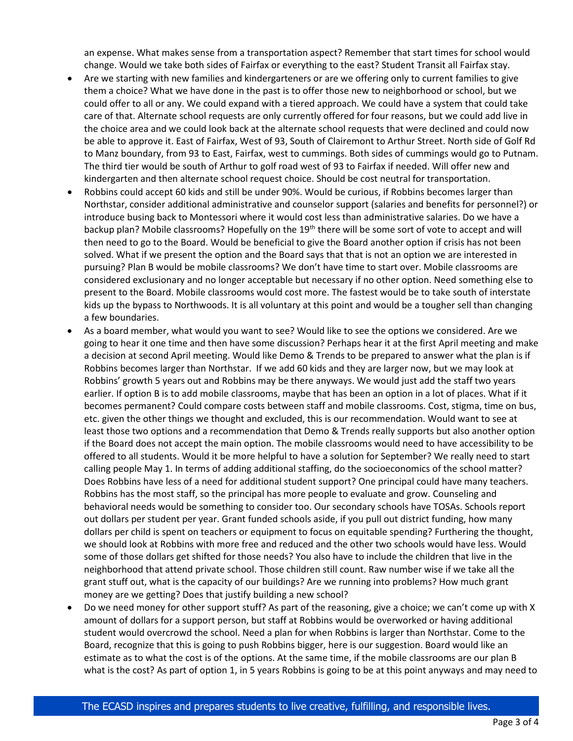an expense. What makes sense from a transportation aspect? Remember that start times for school would change. Would we take both sides of Fairfax or everything to the east? Student Transit all Fairfax stay.

- Are we starting with new families and kindergarteners or are we offering only to current families to give them a choice? What we have done in the past is to offer those new to neighborhood or school, but we could offer to all or any. We could expand with a tiered approach. We could have a system that could take care of that. Alternate school requests are only currently offered for four reasons, but we could add live in the choice area and we could look back at the alternate school requests that were declined and could now be able to approve it. East of Fairfax, West of 93, South of Clairemont to Arthur Street. North side of Golf Rd to Manz boundary, from 93 to East, Fairfax, west to cummings. Both sides of cummings would go to Putnam. The third tier would be south of Arthur to golf road west of 93 to Fairfax if needed. Will offer new and kindergarten and then alternate school request choice. Should be cost neutral for transportation.
- Robbins could accept 60 kids and still be under 90%. Would be curious, if Robbins becomes larger than Northstar, consider additional administrative and counselor support (salaries and benefits for personnel?) or introduce busing back to Montessori where it would cost less than administrative salaries. Do we have a backup plan? Mobile classrooms? Hopefully on the 19<sup>th</sup> there will be some sort of vote to accept and will then need to go to the Board. Would be beneficial to give the Board another option if crisis has not been solved. What if we present the option and the Board says that that is not an option we are interested in pursuing? Plan B would be mobile classrooms? We don't have time to start over. Mobile classrooms are considered exclusionary and no longer acceptable but necessary if no other option. Need something else to present to the Board. Mobile classrooms would cost more. The fastest would be to take south of interstate kids up the bypass to Northwoods. It is all voluntary at this point and would be a tougher sell than changing a few boundaries.
- As a board member, what would you want to see? Would like to see the options we considered. Are we going to hear it one time and then have some discussion? Perhaps hear it at the first April meeting and make a decision at second April meeting. Would like Demo & Trends to be prepared to answer what the plan is if Robbins becomes larger than Northstar. If we add 60 kids and they are larger now, but we may look at Robbins' growth 5 years out and Robbins may be there anyways. We would just add the staff two years earlier. If option B is to add mobile classrooms, maybe that has been an option in a lot of places. What if it becomes permanent? Could compare costs between staff and mobile classrooms. Cost, stigma, time on bus, etc. given the other things we thought and excluded, this is our recommendation. Would want to see at least those two options and a recommendation that Demo & Trends really supports but also another option if the Board does not accept the main option. The mobile classrooms would need to have accessibility to be offered to all students. Would it be more helpful to have a solution for September? We really need to start calling people May 1. In terms of adding additional staffing, do the socioeconomics of the school matter? Does Robbins have less of a need for additional student support? One principal could have many teachers. Robbins has the most staff, so the principal has more people to evaluate and grow. Counseling and behavioral needs would be something to consider too. Our secondary schools have TOSAs. Schools report out dollars per student per year. Grant funded schools aside, if you pull out district funding, how many dollars per child is spent on teachers or equipment to focus on equitable spending? Furthering the thought, we should look at Robbins with more free and reduced and the other two schools would have less. Would some of those dollars get shifted for those needs? You also have to include the children that live in the neighborhood that attend private school. Those children still count. Raw number wise if we take all the grant stuff out, what is the capacity of our buildings? Are we running into problems? How much grant money are we getting? Does that justify building a new school?
- Do we need money for other support stuff? As part of the reasoning, give a choice; we can't come up with X amount of dollars for a support person, but staff at Robbins would be overworked or having additional student would overcrowd the school. Need a plan for when Robbins is larger than Northstar. Come to the Board, recognize that this is going to push Robbins bigger, here is our suggestion. Board would like an estimate as to what the cost is of the options. At the same time, if the mobile classrooms are our plan B what is the cost? As part of option 1, in 5 years Robbins is going to be at this point anyways and may need to